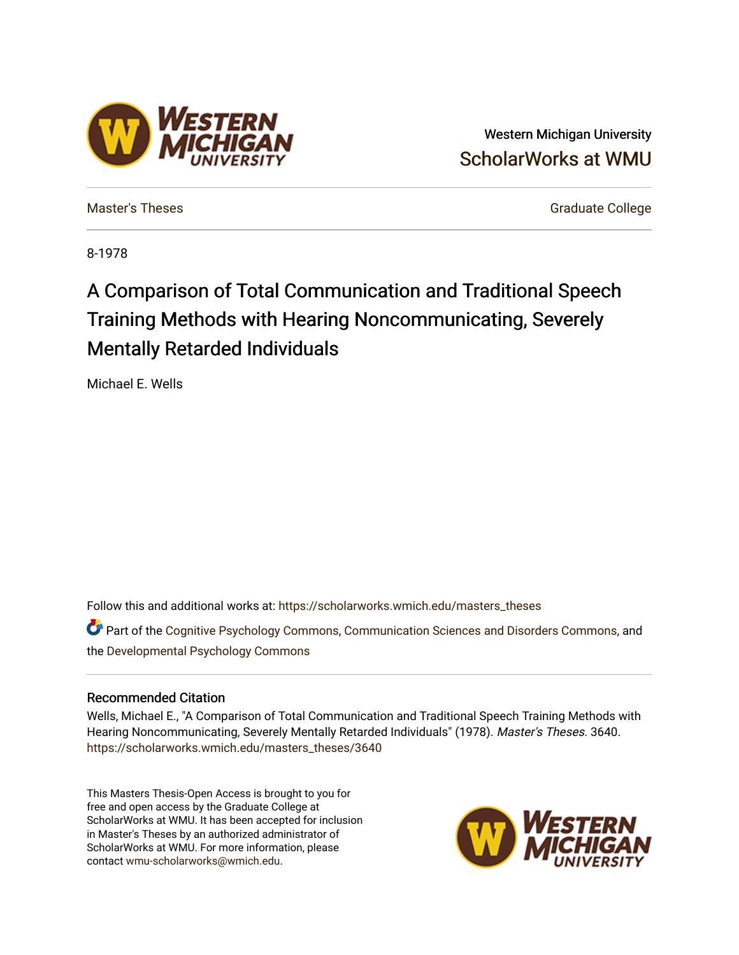## Western Michigan University [ScholarWorks at WMU](https://scholarworks.wmich.edu/)

**ESTERN** 

[Master's Theses](https://scholarworks.wmich.edu/masters_theses) [Graduate College](https://scholarworks.wmich.edu/grad) Controller College College College College College

8-1978

# A Comparison of Total Communication and Traditional Speech Training Methods with Hearing Noncommunicating, Severely Mentally Retarded Individuals

Michael E. Wells

Follow this and additional works at: [https://scholarworks.wmich.edu/masters\\_theses](https://scholarworks.wmich.edu/masters_theses?utm_source=scholarworks.wmich.edu%2Fmasters_theses%2F3640&utm_medium=PDF&utm_campaign=PDFCoverPages) 

Part of the [Cognitive Psychology Commons,](http://network.bepress.com/hgg/discipline/408?utm_source=scholarworks.wmich.edu%2Fmasters_theses%2F3640&utm_medium=PDF&utm_campaign=PDFCoverPages) [Communication Sciences and Disorders Commons](http://network.bepress.com/hgg/discipline/1019?utm_source=scholarworks.wmich.edu%2Fmasters_theses%2F3640&utm_medium=PDF&utm_campaign=PDFCoverPages), and the [Developmental Psychology Commons](http://network.bepress.com/hgg/discipline/410?utm_source=scholarworks.wmich.edu%2Fmasters_theses%2F3640&utm_medium=PDF&utm_campaign=PDFCoverPages) 

### Recommended Citation

Wells, Michael E., "A Comparison of Total Communication and Traditional Speech Training Methods with Hearing Noncommunicating, Severely Mentally Retarded Individuals" (1978). Master's Theses. 3640. [https://scholarworks.wmich.edu/masters\\_theses/3640](https://scholarworks.wmich.edu/masters_theses/3640?utm_source=scholarworks.wmich.edu%2Fmasters_theses%2F3640&utm_medium=PDF&utm_campaign=PDFCoverPages) 

This Masters Thesis-Open Access is brought to you for free and open access by the Graduate College at ScholarWorks at WMU. It has been accepted for inclusion in Master's Theses by an authorized administrator of ScholarWorks at WMU. For more information, please contact [wmu-scholarworks@wmich.edu](mailto:wmu-scholarworks@wmich.edu).

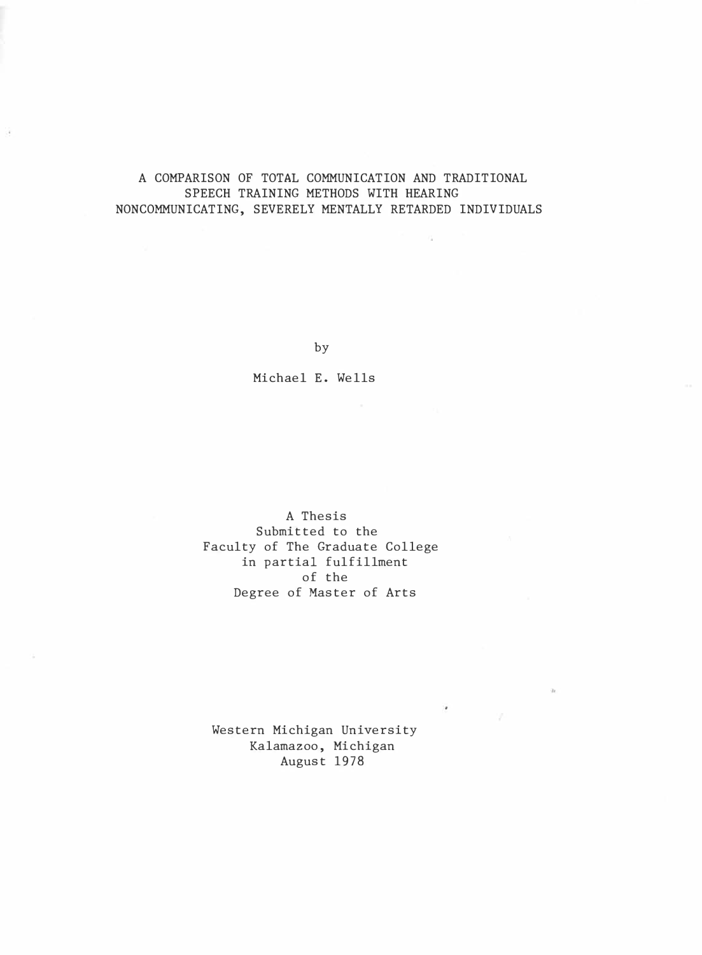### A COMPARISON OF TOTAL COMMUNICATION AND TRADITIONAL SPEECH TRAINING METHODS WITH HEARING NONCOMMUNICATING, SEVERELY MENTALLY RETARDED INDIVIDUALS

÷

by

Michael E. Wells

A Thesis Submitted to the Faculty of The Graduate College in partial fulfillment of the Degree of Master of Arts

Western Michigan University Kalamazoo, Michigan August 1978

 $\overline{\phantom{a}}$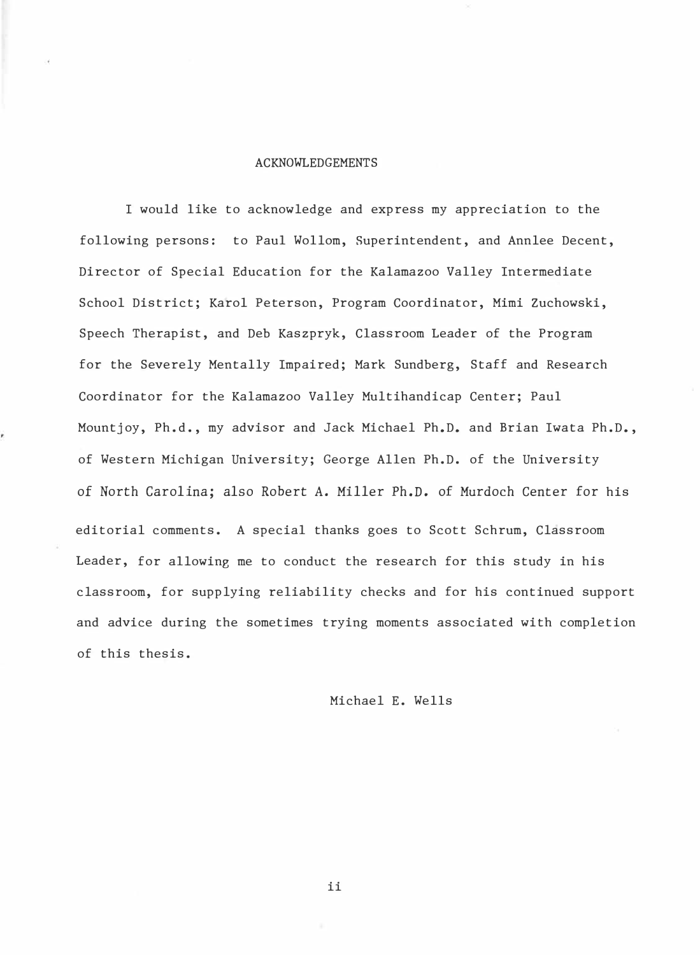#### ACKNOWLEDGEMENTS

I would like to acknowledge and express my appreciation to the following persons: to Paul Wollom, Superintendent, and Annlee Decent, Director of Special Education for the Kalamazoo Valley Intermediate School District; Karol Peterson, Program Coordinator, Mimi Zuchowski, Speech Therapist, and Deb Kaszpryk, Classroom Leader of the Program for the Severely Mentally Impaired; Mark Sundberg, Staff and Research Coordinator for the Kalamazoo Valley Multihandicap Center; Paul Mountjoy, Ph.d., my advisor and Jack Michael Ph.D. and Brian Iwata Ph.D., of Western Michigan University; George Allen Ph.D. of the University of North Carolina; also Robert A. Miller Ph.D. of Murdoch Center for his editorial comments. A special thanks goes to Scott Schrum, Classroom Leader, for allowing me to conduct the research for this study in his classroom, for supplying reliability checks and for his continued support and advice during the sometimes trying moments associated with completion of this thesis.

Michael E. Wells

ii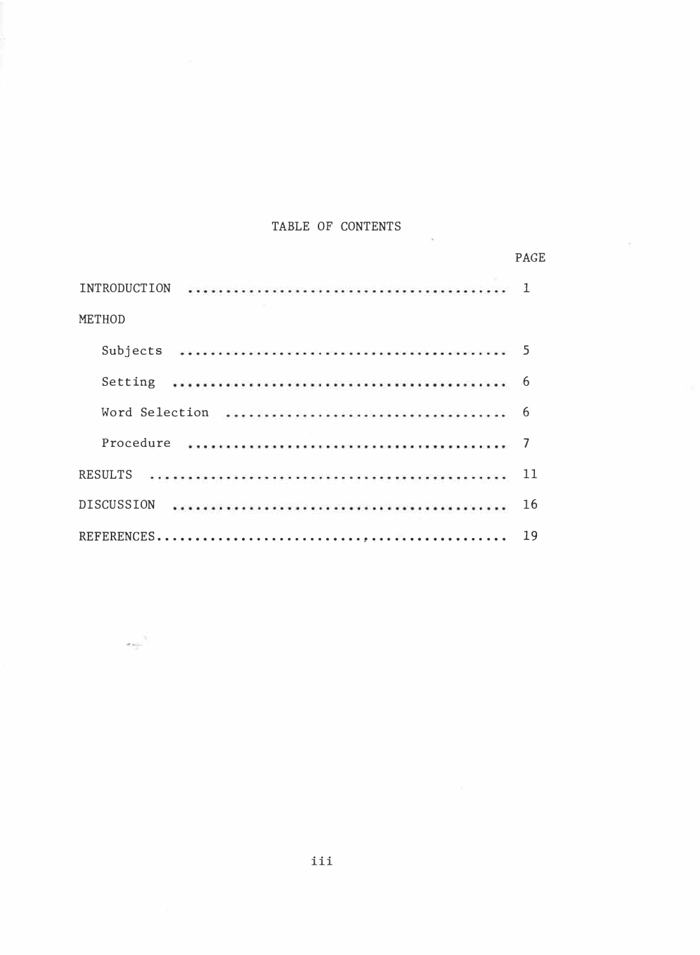### TABLE OF CONTENTS

|                     | <b>PAGE</b> |
|---------------------|-------------|
| <b>INTRODUCTION</b> | 1           |
| <b>METHOD</b>       |             |
| Subjects            |             |
| Setting             | 6           |
|                     | 6           |
| Procedure           |             |
| RESULTS             | 11          |
| <b>DISCUSSION</b>   | 16          |
|                     | 19          |

 $\sim$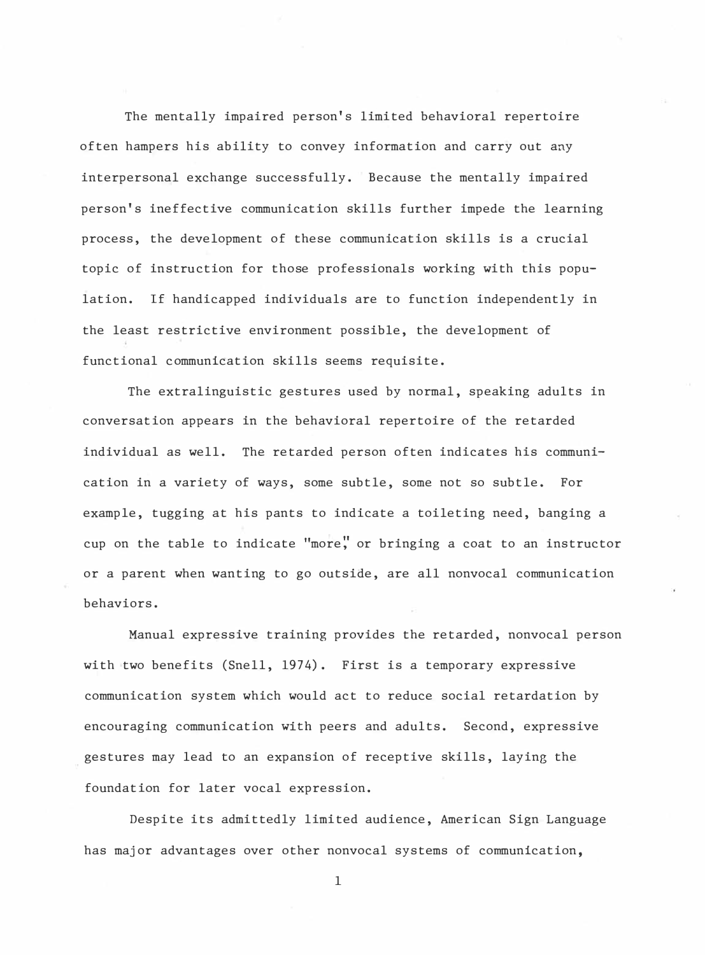The mentally impaired person's limited behavioral repertoire often hampers his ability to convey information and carry out any interpersonal exchange successfully. Because the mentally impaired person's ineffective communication skills further impede the learning process, the development of these communication skills is a crucial topic of instruction for those professionals working with this population. If handicapped individuals are to function independently in the least restrictive environment possible, the development of functional communication skills seems requisite.

The extralinguistic gestures used by normal, speaking adults in conversation appears in the behavioral repertoire of the retarded individual as well. The retarded person often indicates his communication in a variety of ways, some subtle, some not so subtle. For example, tugging at his pants to indicate a toileting need, banging a cup on the table to indicate "more:' or bringing a coat to an instructor or a parent when wanting to go outside, are all nonvocal communication behaviors.

Manual expressive training provides the retarded, nonvocal person with two benefits (Snell, 1974). First is a temporary expressive communication system which would act to reduce social retardation by encouraging communication **with** peers and adults. Second, expressive gestures may lead to an expansion of receptive skills, laying the foundation for later vocal expression.

Despite its admittedly limited audience, American Sign Language has major advantages over other nonvocal systems of communication,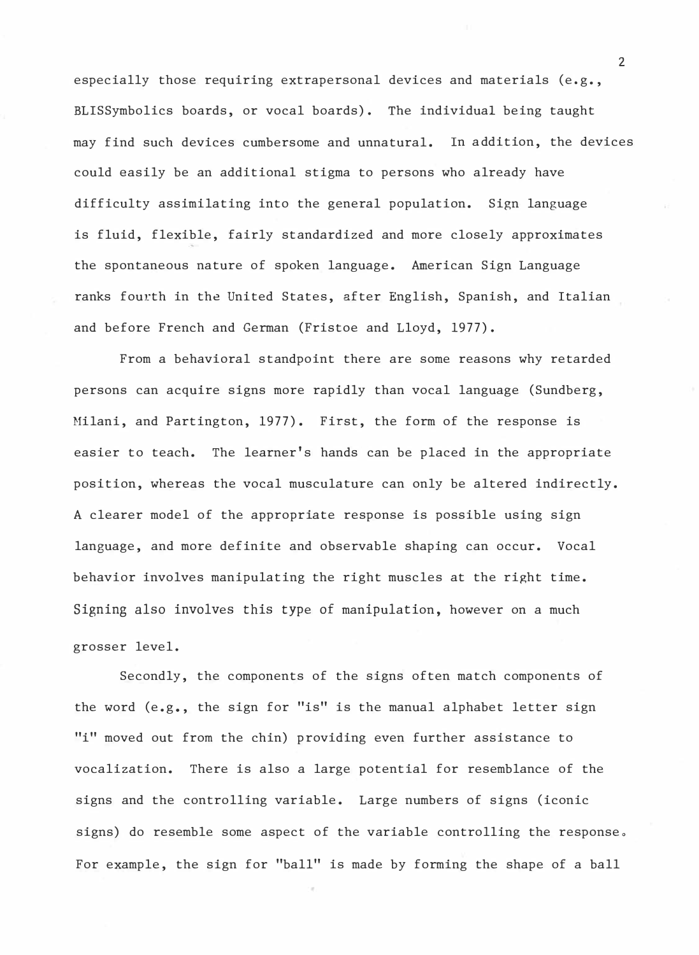especially those requiring extrapersonal devices and materials (e.g., BLISSymbolics boards, or vocal boards). The individual being taught may find such devices cumbersome and unnatural. In addition, the devices could easily be an additional stigma to persons who already have difficulty assimilating into the general population. Sign language is fluid, flexible, fairly standardized and more closely approximates the spontaneous nature of spoken language. American Sign Language ranks fourth in the United States, after English, Spanish, and Italian and before French and German (Fristoe and Lloyd, 1977).

From a behavioral standpoint there are some reasons why retarded persons can acquire signs more rapidly than vocal language (Sundberg, Milani, and Partington, 1977). First, the form of the response is easier to teach. The learner's hands can be placed in the appropriate position, whereas the vocal musculature can only be altered indirectly. A clearer model of the appropriate response is possible using sign language, and more definite and observable shaping can occur. Vocal behavior involves manipulating the right muscles at the right time. Signing also involves this type of manipulation, however on a much grosser level.

Secondly, the components of the signs often match components of the word (e.g., the sign for "is" is the manual alphabet letter sign "i" moved out from the chin) providing even further assistance to vocalization. There is also a large potential for resemblance of the signs and the controlling variable. Large numbers of signs (iconic signs) do resemble some aspect of the variable controlling the response. For example, the sign for "ball" is made by forming the shape of a ball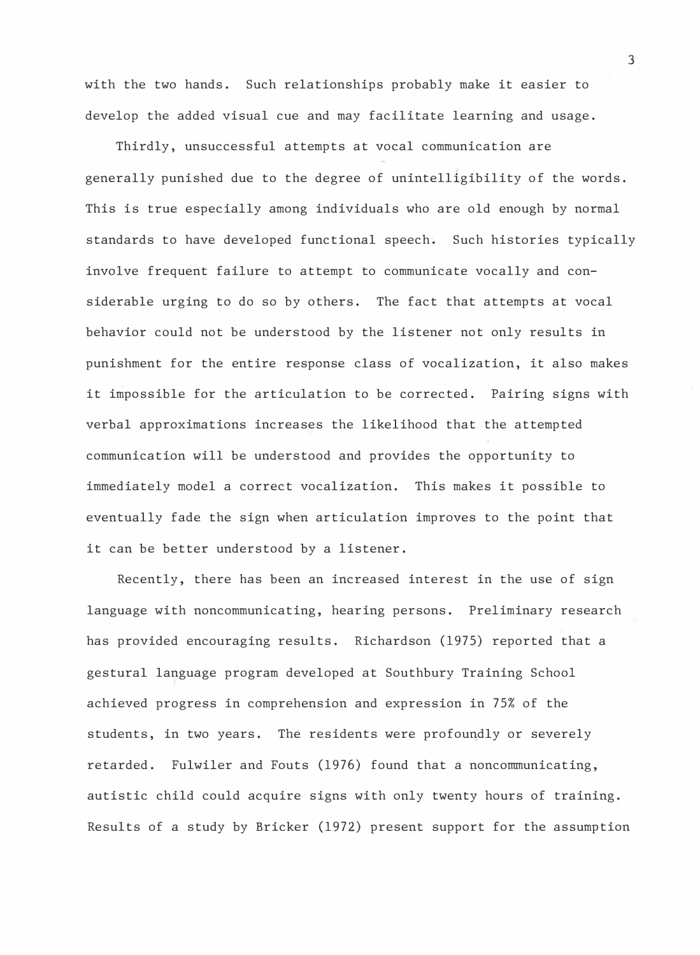with the two hands. Such relationships probably make it easier to develop the added visual cue and may facilitate learning and usage.

Thirdly, unsuccessful attempts at vocal communication are generally punished due to the degree of unintelligibility of the words. This is true especially among individuals who are old enough by normal standards to have developed functional speech. Such histories typically involve frequent failure to attempt to communicate vocally and considerable urging to do so by others. The fact that attempts at vocal behavior could not be understood by the listener not only results in punishment for the entire response class of vocalization, it also makes it impossible for the articulation to be corrected. Pairing signs with verbal approximations increases the likelihood that the attempted communication will be understood and provides the opportunity to immediately model a correct vocalization. This makes it possible to eventually fade the sign when articulation improves to the point that it can be better understood by a listener.

Recently, there has been an increased interest in the use of sign language with noncommunicating, hearing persons. Preliminary research has provided encouraging results. Richardson (1975) reported that a gestural language program developed at Southbury Training School achieved progress in comprehension and expression in 75% of the students, in two years. The residents were profoundly or severely retarded. Fulwiler and Fouts (1976) found that a noncommunicating, autistic child could acquire signs with only twenty hours of training. Results of a study by Bricker (1972) present support for the assumption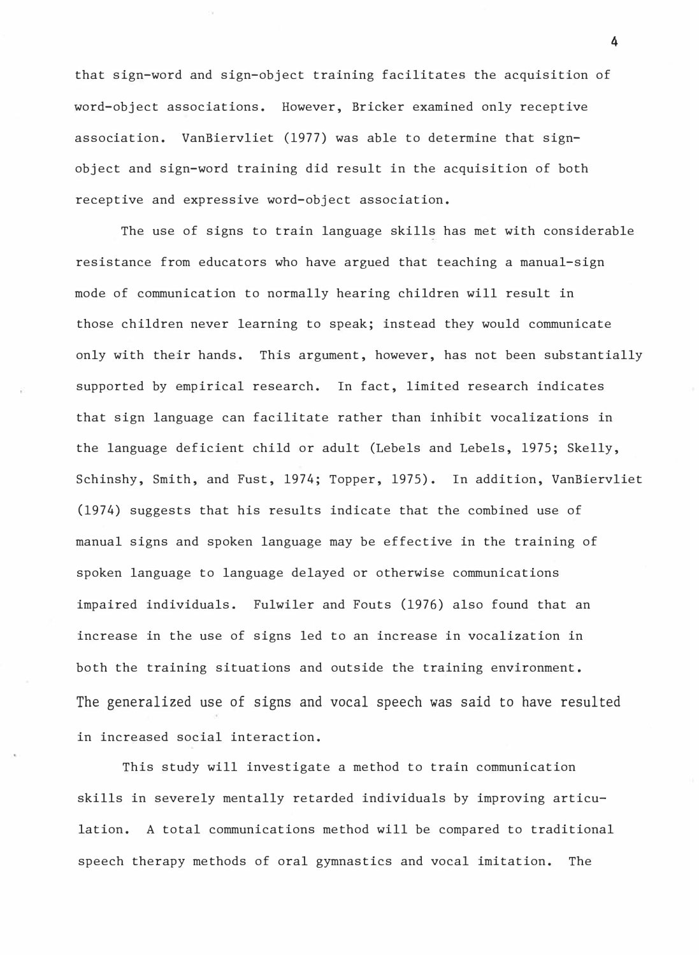that sign-word and sign-object training facilitates the acquisition of word-object associations. However, Bricker examined only receptive association. VanBiervliet (1977) was able to determine that signobject and sign-word training did result in the acquisition of both receptive and expressive word-object association.

The use of signs to train language skills has met with considerable resistance from educators who have argued that teaching a manual-sign mode of communication to normally hearing children will result in those children never learning to speak; instead they would communicate only with their hands. This argument, however, has not been substantially supported by empirical research. In fact, limited research indicates that sign language can facilitate rather than inhibit vocalizations in the language deficient child or adult (Lebels and Lebels, 1975; Skelly, Schinshy, Smith, and Fust, 1974; Topper, 1975). In addition, VanBiervliet (1974) suggests that his results indicate that the combined use of manual signs and spoken language may be effective in the training of spoken language to language delayed or otherwise communications impaired individuals. Fulwiler and Fouts (1976) also found that an increase in the use of signs led to an increase in vocalization in both the training situations and outside the training environment. The generalized use of signs and vocal speech was said to have resulted in increased social interaction.

This study will investigate a method to train communication skills in severely mentally retarded individuals by improving articulation. A total communications method will be compared to traditional speech therapy methods of oral gymnastics and vocal imitation. The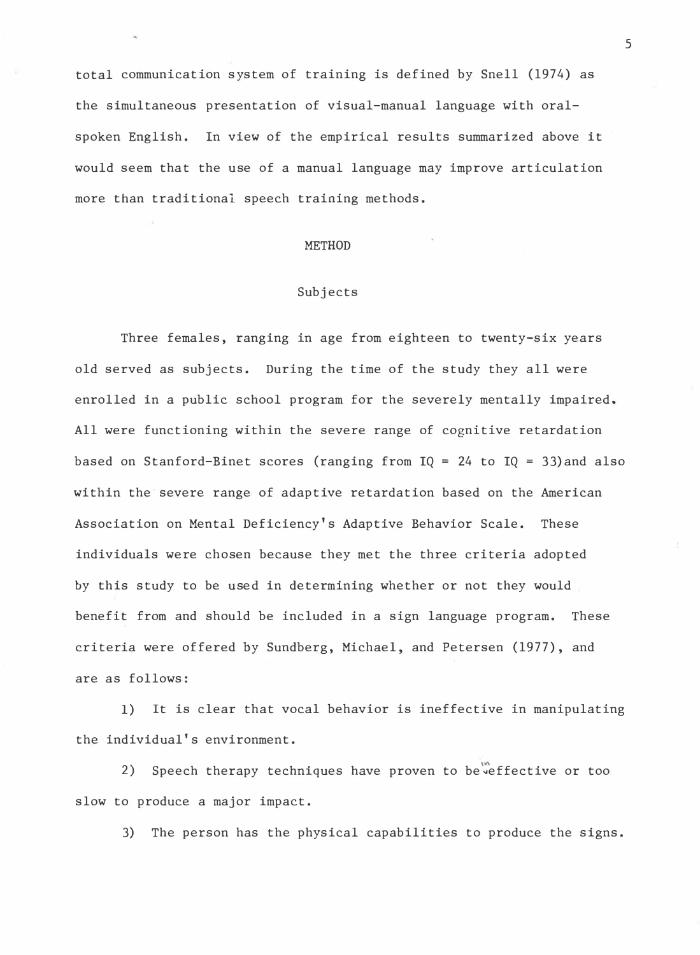total communication system of training is defined by Snell (1974) as the simultaneous presentation of visual-manual language with oralspoken English. In view of the empirical results summarized above it would seem that the use of a manual language may improve articulation more than traditional speech training methods.

#### METHOD

#### Subjects

Three females, ranging in age from eighteen to twenty-six years old served as subjects. During the time of the study they all were enrolled in a public school program for the severely mentally impaired. All were functioning within the severe range of cognitive retardation based on Stanford-Binet scores (ranging from  $IQ = 24$  to  $IQ = 33)$  and also within the severe range of adaptive retardation based on the American Association on Mental Deficiency's Adaptive Behavior Scale. These individuals were chosen because they met the three criteria adopted by this study to be used in determining whether or not they would benefit from and should be included in a sign language program. These criteria were offered by Sundberg, Michael, and Petersen (1977), and are as follows:

1) It is clear that vocal behavior is ineffective in manipulating the individual's environment.

2) Speech therapy techniques have proven to be veffective or too slow to produce a major impact.

3) The person has the physical capabilities to produce the signs.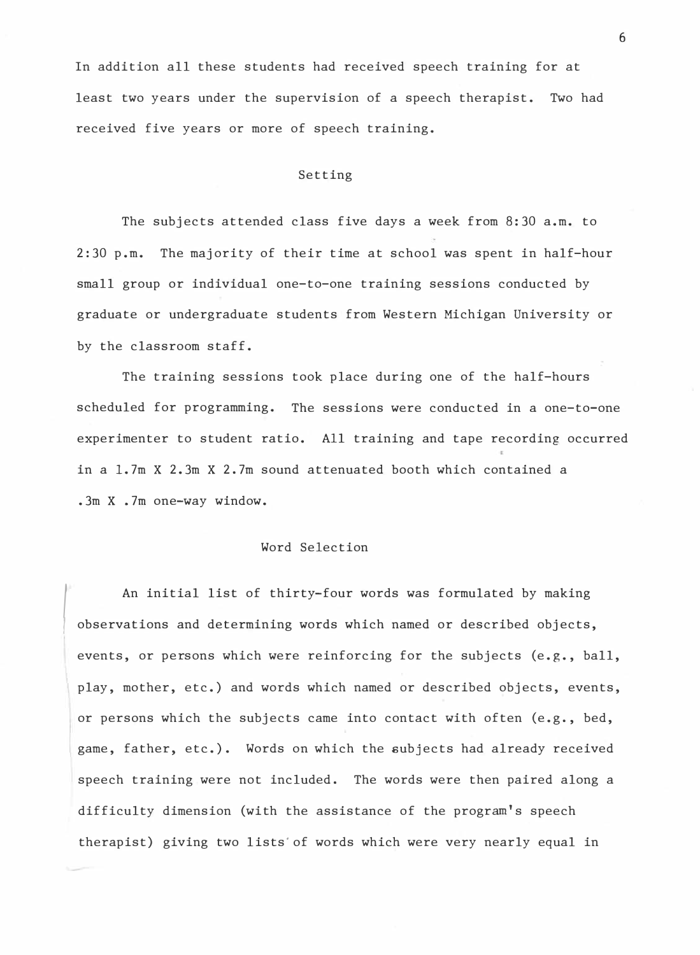In addition all these students had received speech training for at least two years under the supervision of a speech therapist. Two had received five years or more of speech training.

#### Setting

The subjects attended class five days a week from 8:30 a.m. to 2:30 p.m. The majority of their time at school was spent in half-hour small group or individual one-to-one training sessions conducted by graduate or undergraduate students from Western Michigan University or by the classroom staff.

The training sessions took place during one of the half-hours scheduled for programming. The sessions were conducted in a one-to-one experimenter to student ratio. All training and tape recording occurred in a 1.7m X 2.3m X 2.7m sound attenuated booth which contained a .3m X .7m one-way window.

#### Word Selection

*I*  An initial list of thirty-four words was formulated by making observations and determining words which named or described objects, events, or persons which were reinforcing for the subjects (e.g., ball, play, mother, etc.) and words which named or described objects, events, or persons which the subjects came into contact with often (e.g., bed, game, father, etc.). Words on which the subjects had already received speech training were not included. The words were then paired along a difficulty dimension (with the assistance of the program's speech therapist) giving two lists'of words which were very nearly equal in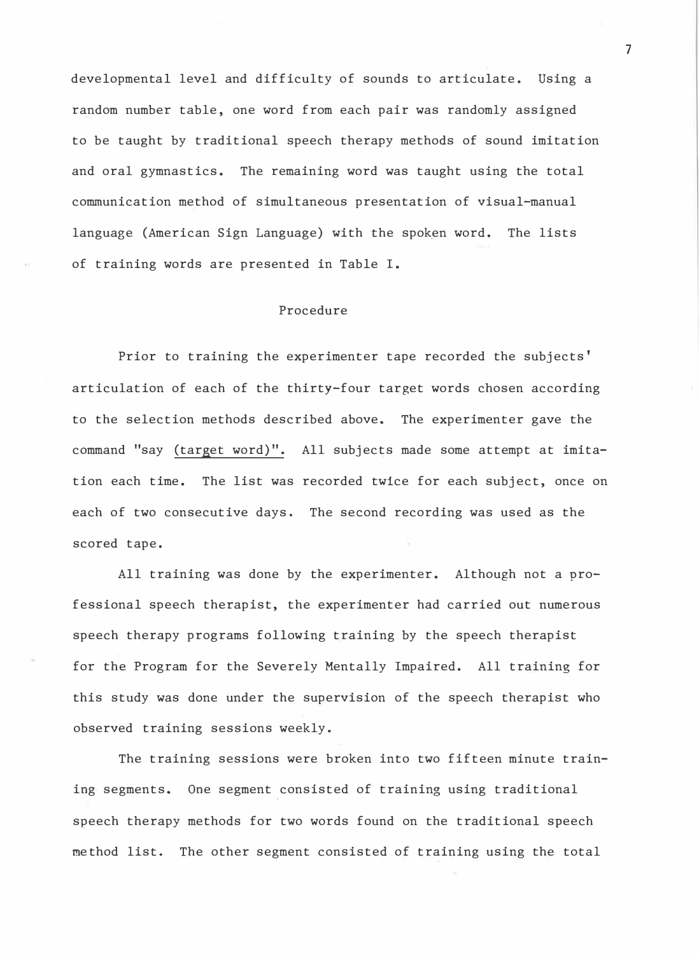developmental level and difficulty of sounds to articulate. Using a random number table, one word from each pair was randomly assigned to be taught by traditional speech therapy methods of sound imitation and oral gymnastics. The remaining word was taught using the total communication method of simultaneous presentation of visual-manual language (American Sign Language) with the spoken word. The lists of training words are presented in Table I.

#### Procedure

Prior to training the experimenter tape recorded the subjects' articulation of each of the thirty-four target words chosen according to the selection methods described above. The experimenter gave the command "say (target word)". All subjects made some attempt at imitation each time. The list was recorded twice for each subject, once on each of two consecutive days. The second recording was used as the scored tape.

All training was done by the experimenter. Although not a professional speech therapist, the experimenter had carried out numerous speech therapy programs following training by the speech therapist for the Program for the Severely Mentally Impaired. All training for this study was done under the supervision of the speech therapist who observed training sessions weekly.

The training sessions were broken into two fifteen minute training segments. One segment consisted of training using traditional speech therapy methods for two words found on the traditional speech method list. The other segment consisted of training using the total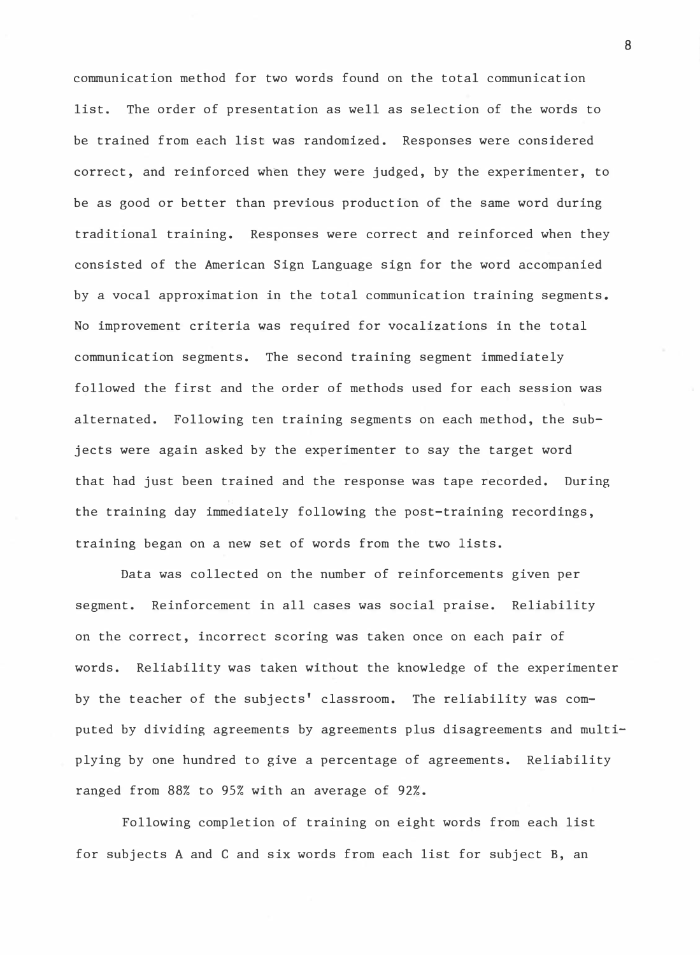communication method for two words found on the total communication list. The order of presentation as well as selection of the words to be trained from each list was randomized. Responses were considered correct, and reinforced when they were judged, by the experimenter, to be as good or better than previous production of the same word during traditional training. Responses were correct �nd reinforced when they consisted of the American Sign Language sign for the word accompanied by a vocal approximation in the total communication training segments. No improvement criteria was required for vocalizations in the total communication segments. The second training segment immediately followed the first and the order of methods used for each session was alternated. Following ten training segments on each method, the subjects were again asked by the experimenter to say the target word that had just been trained and the response was tape recorded. During the training day immediately following the post-training recordings, training began on a new set of words from the two lists.

Data was collected on the number of reinforcements given per segment. Reinforcement in all cases was social praise. Reliability on the correct, incorrect scoring was taken once on each pair of words. Reliability was taken without the knowledge of the experimenter by the teacher of the subjects' classroom. The reliability was computed by dividing agreements by agreements plus disagreements and multiplying by one hundred to give a percentage of agreements. Reliability ranged from 88% to 95% with an average of 92%.

Following completion of training on eight words from each list for subjects A and C and six words from each list for subject B, an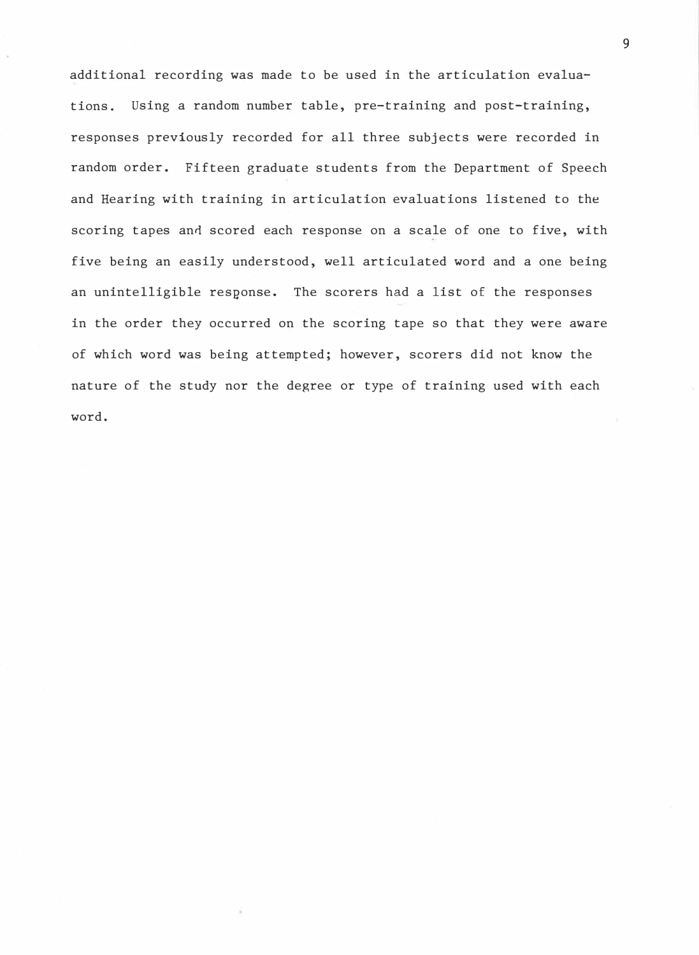additional recording was made to be used in the articulation evaluations. Using a random number table, pre-training and post-training, responses previously recorded for all three subjects were recorded in random order. Fifteen graduate students from the Department of Speech and Hearing with training in articulation evaluations listened to the scoring tapes and scored each response on a scale of one to five, with five being an easily understood, well articulated word and a one being an unintelligible response. The scorers had a list of the responses in the order they occurred on the scoring tape so that they were aware of which word was being attempted; however, scorers did not know the nature of the study nor the degree or type of training used with each word.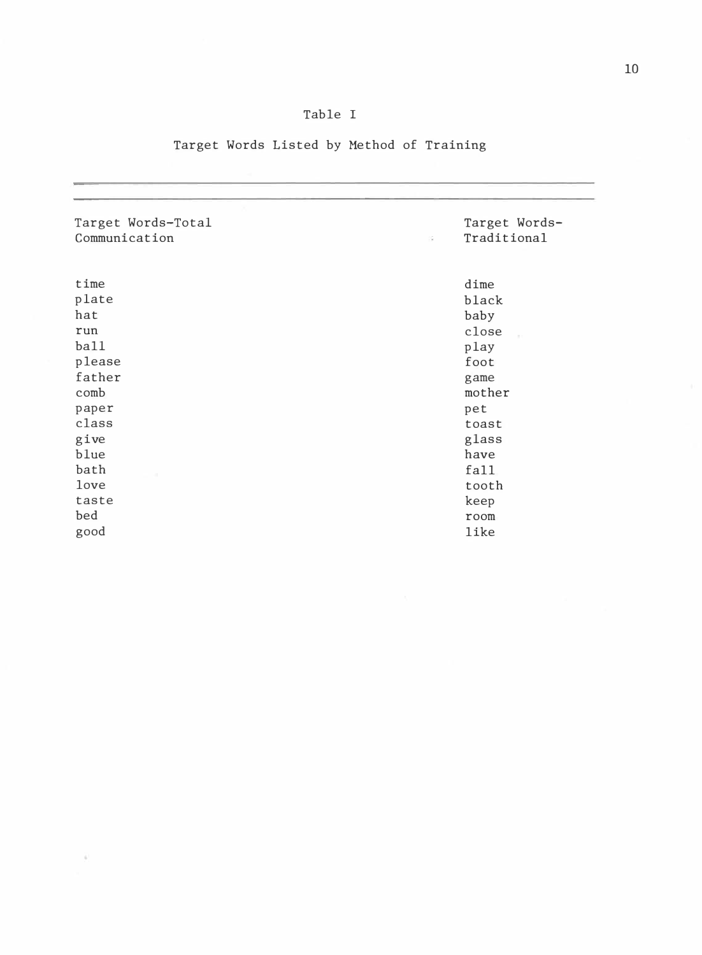| ٠<br>I |
|--------|
|        |

### Table I

### Target Words Listed by Method of Training

| Target Words-Total<br>Communication                                                                                                       | Target Words-<br>Traditional<br>$\lesssim$                                                                                                                     |
|-------------------------------------------------------------------------------------------------------------------------------------------|----------------------------------------------------------------------------------------------------------------------------------------------------------------|
| time<br>plate<br>hat<br>run<br>bail<br>please<br>father<br>comb<br>paper<br>class<br>give<br>blue<br>bath<br>love<br>taste<br>bed<br>good | dime<br>black<br>baby<br>close<br>$p \, \text{lay}$<br>foot<br>game<br>mother<br>pet<br>toast<br>glass<br>have<br>fall<br>tooth<br>keep<br>room<br><b>like</b> |

 $\tilde{a}$  .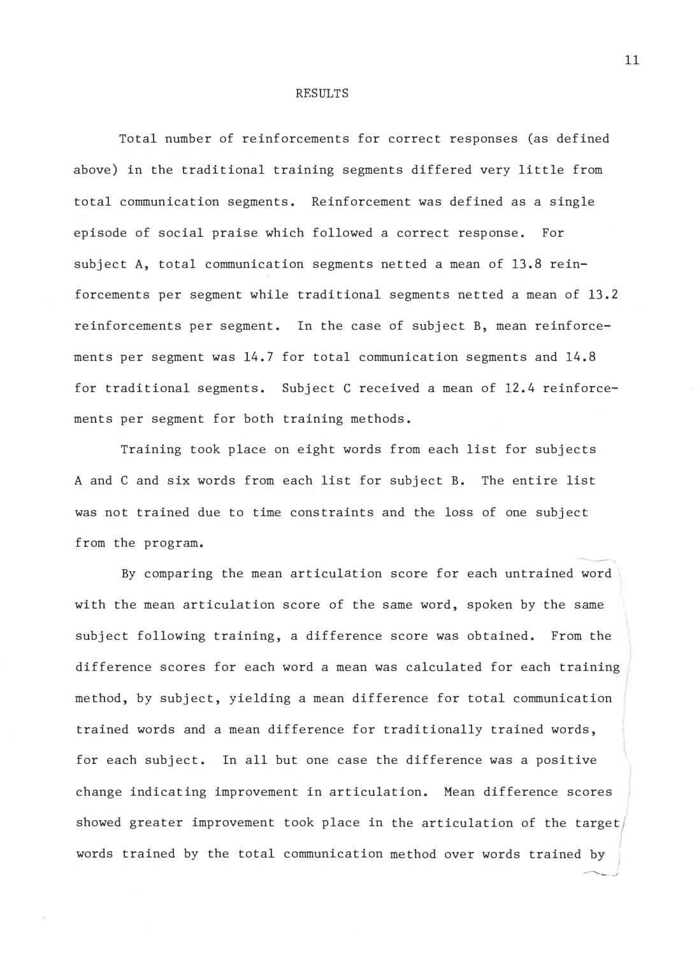#### RESULTS

Total number of reinforcements for correct responses (as defined above) in the traditional training segments differed very little from total communication segments. Reinforcement was defined as a single episode of social praise which followed a correct response. For subject A, total communication segments netted a mean of 13.8 reinforcements per segment while traditional segments netted a mean of 13.2 reinforcements per segment. In the case of subject B, mean reinforcements per segment was 14.7 for total communication segments and 14.8 for traditional segments. Subject C received a mean of 12.4 reinforcements per segment for both training methods.

Training took place on eight words from each list for subjects A and C and six words from each list for subject B. The entire list was not trained due to time constraints and the loss of one subject from the program.

 $\begin{picture}(220,20) \put(0,0){\dashbox{0.5}(5,0){ }} \put(15,0){\dashbox{0.5}(5,0){ }} \put(15,0){\dashbox{0.5}(5,0){ }} \put(15,0){\dashbox{0.5}(5,0){ }} \put(15,0){\dashbox{0.5}(5,0){ }} \put(15,0){\dashbox{0.5}(5,0){ }} \put(15,0){\dashbox{0.5}(5,0){ }} \put(15,0){\dashbox{0.5}(5,0){ }} \put(15,0){\dashbox{0.5}(5,0){ }} \put(15,0){\dashbox{0.5}(5,0){$ By comparing the mean articulation score for each untrained word $\,$ with the mean articulation score of the same word, spoken by the same subject following training, a difference score was obtained. From the difference scores for each word a mean was calculated for each training method, by subject, yielding a mean difference for total communication trained words and a mean difference for traditionally trained words, for each subject. In all but one case the difference was a positive change indicating improvement in articulation. Mean difference scores showed greater improvement took place in the articulation of the target $\bigg|$ words trained by the total communication method over words trained  $\sim$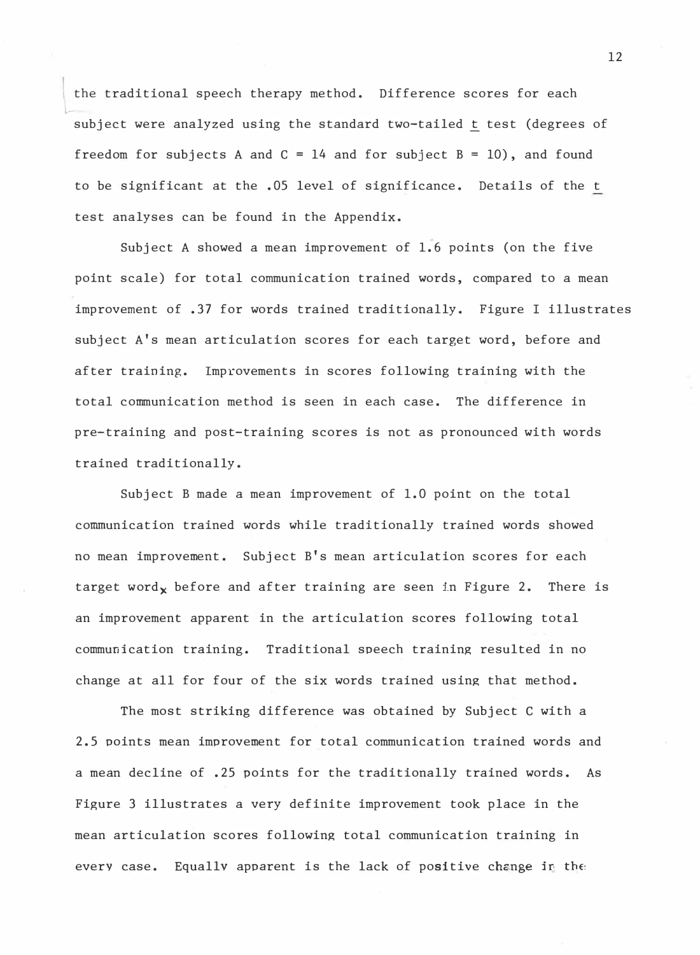the traditional speech therapy method. Difference scores for each  $\overline{\phantom{a}}$ subject were analyzed using the standard two<del>-</del>tailed <u>t</u> test (degrees of freedom for subjects A and  $C = 14$  and for subject  $B = 10$ ), and found to be significant at the .05 level of significance. Details of the t test analyses can be found in the Appendix.

Subject A showed a mean improvement of 1.6 points (on the five point scale) for total communication trained words, compared to a mean improvement of .37 for words trained traditionally. Figure I illustrates subject A's mean articulation scores for each target word, before and after training. Improvements in scores following training with the total communication method is seen in each case. The difference in pre-training and post-training scores is not as pronounced with words trained traditionally.

Subject B made a mean improvement of 1.0 point on the total communication trained words while traditionally trained words showed no mean improvement. Subject B's mean articulation scores for each target word $_{\mathbf{x}}$  before and after training are seen in Figure 2. There is an improvement apparent in the articulation scores following total communication training. Traditional speech training resulted in no change at all for four of the six words trained using that method.

The most striking difference was obtained by Subject C with a 2.5 points mean improvement for total communication trained words and a mean decline of .25 points for the traditionally trained words. As Figure 3 illustrates a very definite improvement took place in the mean articulation scores following total communication training in every case. Equally apparent is the lack of positive change in the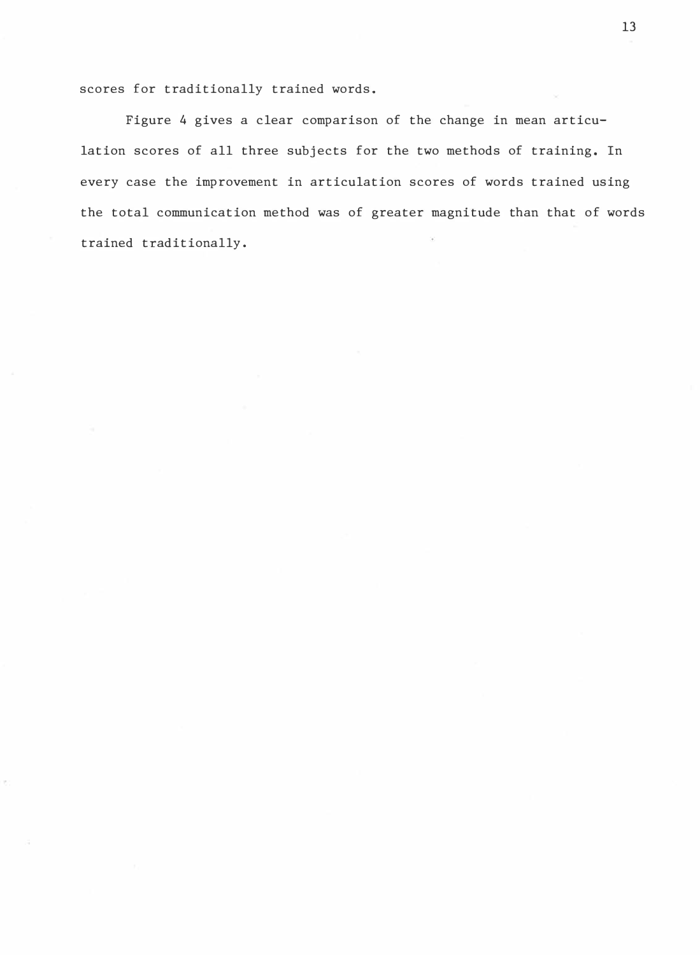scores for traditionally trained words.

Figure 4 gives a clear comparison of the change in mean articulation scores of all three subjects for the two methods of training. In every case the improvement in articulation scores of words trained using the total communication method was of greater magnitude than that of words trained traditionally.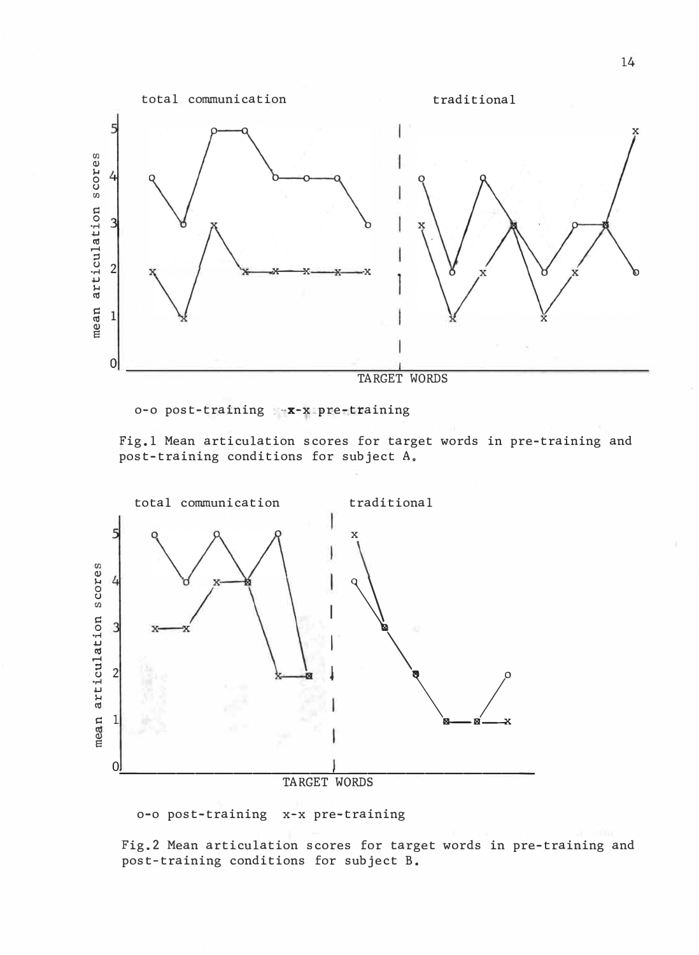

o-o post-training \*-x-x pre-training

fig.l Mean articulation scores for target words in pre-training and post-training conditions for subject A.



o-o post-training x-x pre-training

Fig.2 Mean articulation scores for target words in pre-training and post-training conditions for subject B.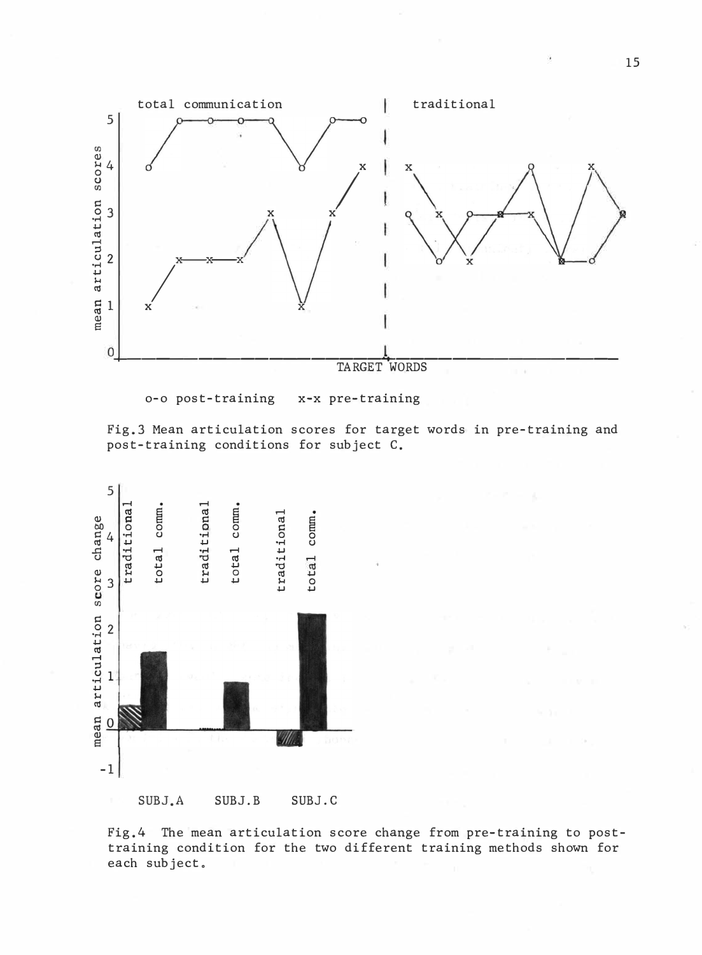

o-o post-training x-x pre-training

Fig.3 Mean articulation scores for target words in pre-training and post-training conditions for subject C.



Fig.4 The mean articulation score change from pre-training to posttraining condition for the two different training methods shown for each subject.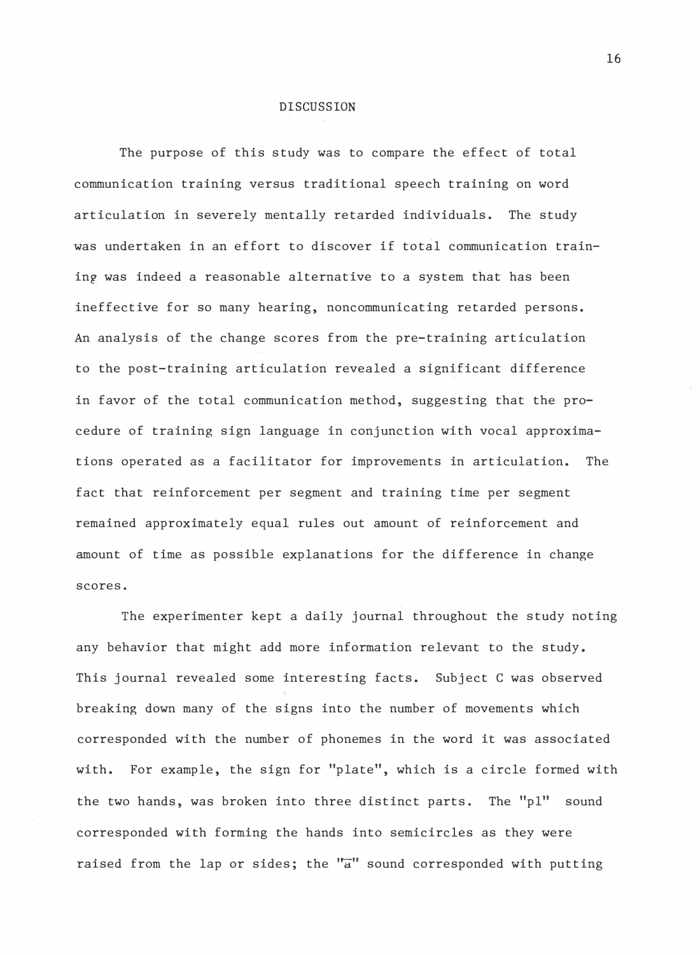#### DISCUSSION

The purpose of this study was to compare the effect of total communication training versus traditional speech training on word articulation in severely mentally retarded individuals. The study was undertaken in an effort to discover if total communication training was indeed a reasonable alternative to a system that has been ineffective for so many hearing, noncommunicating retarded persons. An analysis of the change scores from the pre-training articulation to the post-training articulation revealed a significant difference in favor of the total communication method, suggesting that the procedure of training sign language in conjunction with vocal approximations operated as a facilitator for improvements in articulation. The fact that reinforcement per segment and training time per segment remained approximately equal rules out amount of reinforcement and amount of time as possible explanations for the difference in change scores.

The experimenter kept a daily journal throughout the study noting any behavior that might add more information relevant to the study. This journal revealed some interesting facts. Subject C was observed breaking down many of the signs into the number of movements which corresponded with the number of phonemes in the word it was associated with. For example, the sign for "plate", which is a circle formed with the two hands, was broken into three distinct parts. The "pl" sound corresponded with forming the hands into semicircles as they were raised from the lap or sides; the " $\overline{a}$ " sound corresponded with putting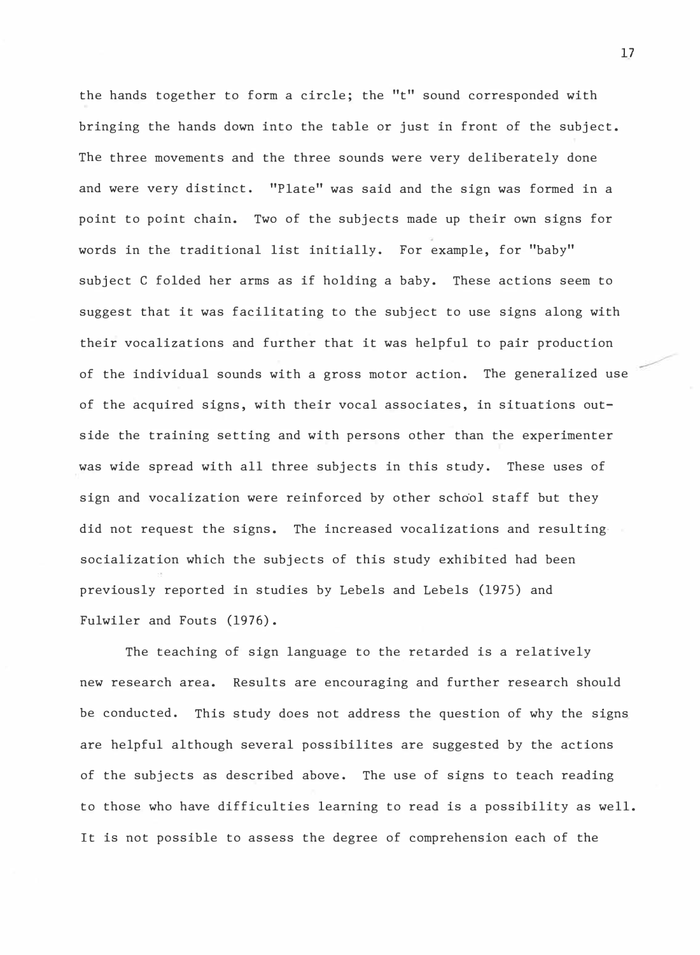the hands together to form a circle; the "t" sound corresponded with bringing the hands down into the table or just in front of the subject. The three movements and the three sounds were very deliberately done and were very distinct. "Plate" was said and the sign was formed in a point to point chain. Two of the subjects made up their own signs for words in the traditional list initially. For example, for "baby" subject C folded her arms as if holding a baby. These actions seem to suggest that it was facilitating to the subject to use signs along with their vocalizations and further that it was helpful to pair production of the individual sounds with a gross motor action. The generalized use of the acquired signs, with their vocal associates, in situations outside the training setting and with persons other than the experimenter was wide spread with all three subjects in this study. These uses of sign and vocalization were reinforced by other school staff but they did not request the signs. The increased vocalizations and resulting• socialization which the subjects of this study exhibited had been previously reported in studies by Lebels and Lebels (1975) and Fulwiler and Fouts (1976).

The teaching of sign language to the retarded is a relatively new research area. Results are encouraging and further research should be conducted. This study does not address the question of why the signs are helpful although several possibilites are suggested by the actions of the subjects as described above. The use of signs to teach reading to those who have difficulties learning to read is a possibility as well. It is not possible to assess the degree of comprehension each of the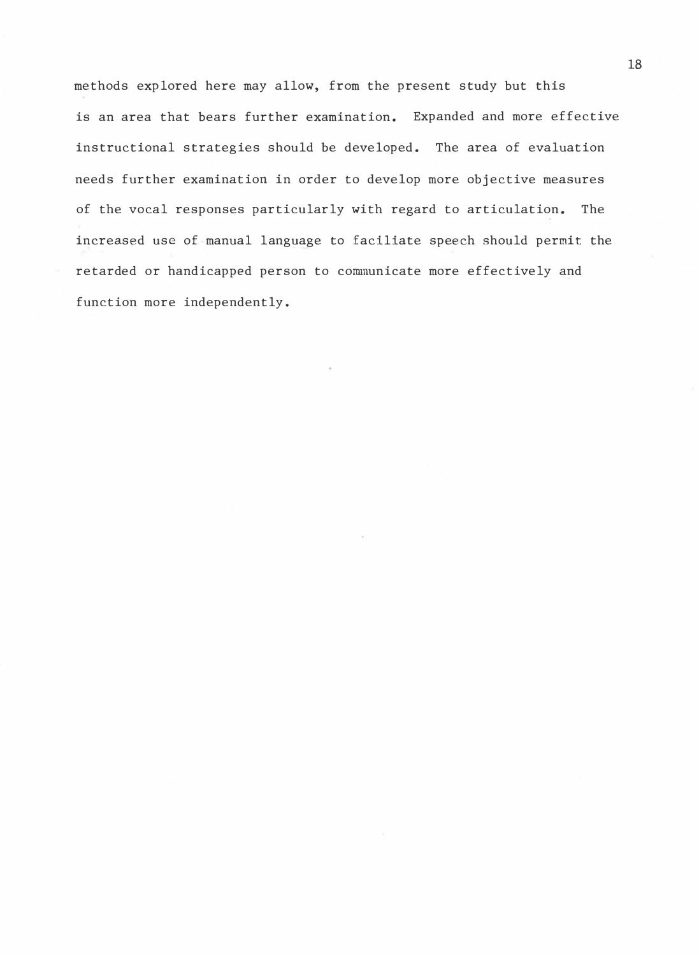methods explored here may allow, from the present study but this is an area that bears further examination. Expanded and more effective instructional strategies should be developed. The area of evaluation needs further examination in order to develop more objective measures of the vocal responses particularly with regard to articulation. The increased use of manual language to faciliate speech should permit the. retarded or handicapped person to communicate more effectively and function more independently.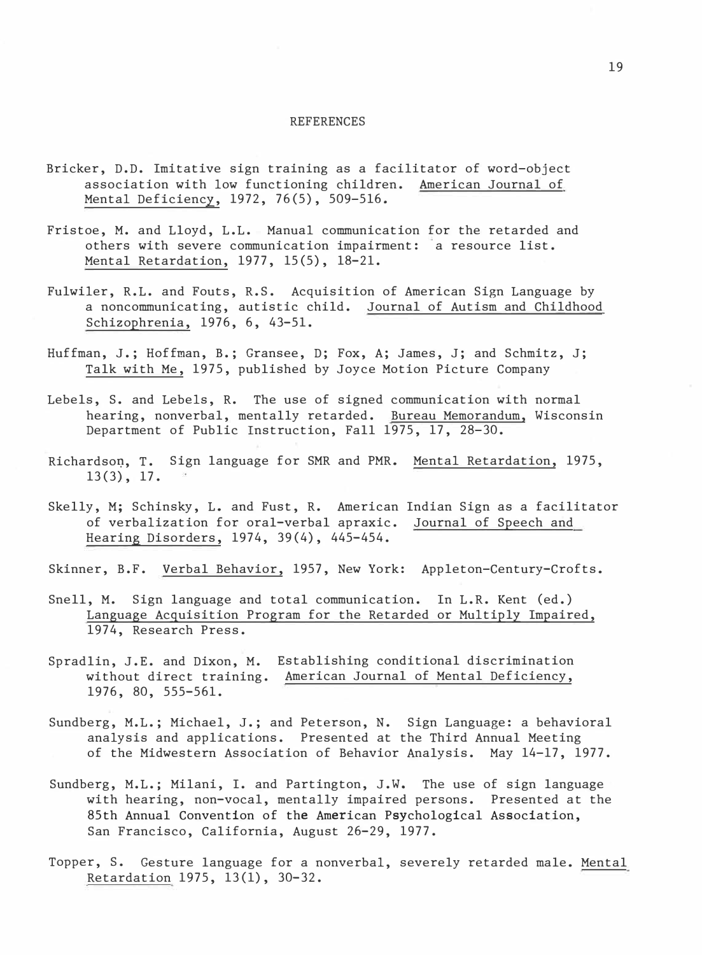#### REFERENCES

- Bricker, D.D. Imitative sign training as a facilitator of word-object association with low functioning children. American Journal of Mental Deficiency, 1972, 76(5), 509-516.
- Fristoe, M. and Lloyd, L.L. Manual communication for the retarded and others with severe communication impairment: a resource list. Mental Retardation, 1977, 15(5), 18-21.
- Fulwiler, R.L. and Fouts, R.S. Acquisition of American Sign Language by a noncommunicating, autistic child. Journal of Autism and Childhood Schizophrenia, 1976, 6, 43-51.
- Huffman, J.; Hoffman, B.; Gransee, D; Fox, A; James, J; and Schmitz, J; Talk with Me, 1975, published by Joyce Motion Picture Company
- Lebels, S. and Lebels, R. The use of signed communication with normal hearing, nonverbal, mentally retarded. Bureau Memorandum, Wisconsin Department of Public Instruction, Fall 1975, 17, 28-30.
- Richardso�, T. Sign language for SMR and PMR. Mental Retardation, 1975, 13(3), 17.
- Skelly, M; Schinsky, L. and Fust, R. American Indian Sign as a facilitator of verbalization for oral-verbal apraxic. Journal of Speech and Hearing Disorders, 1974, 39(4), 445-454.
- Skinner, B.F. Verbal Behavior, 1957, New York: Appleton-Century-Crofts.
- Snell, M. Sign language and total communication. In L.R. Kent (ed.) Language Acquisition Program for the Retarded or Multiply Impaired, 1974, Research Press.
- Spradlin, J.E. and Dixon, M. Establishing conditional discrimination without direct training. American Journal of Mental Deficiency, 1976, 80, 555-561.
- Sundberg, M.L.; Michael, J.; and Peterson, N. Sign Language: a behavioral analysis and applications. Presented at the Third Annual Meeting of the Midwestern Association of Behavior Analysis. May 14-17, 1977.
- Sundberg, M.L.; Milani, I. and Partington, J.W. The use of sign language with hearing, non-vocal, mentally impaired persons. Presented at the 85th Annual Convention of the American Psychological Association, San Francisco, California, August 26-29, 1977.
- Topper, S. Gesture language for a nonverbal, severely retarded male. Mental Retardation 1975, 13(1), 30-32.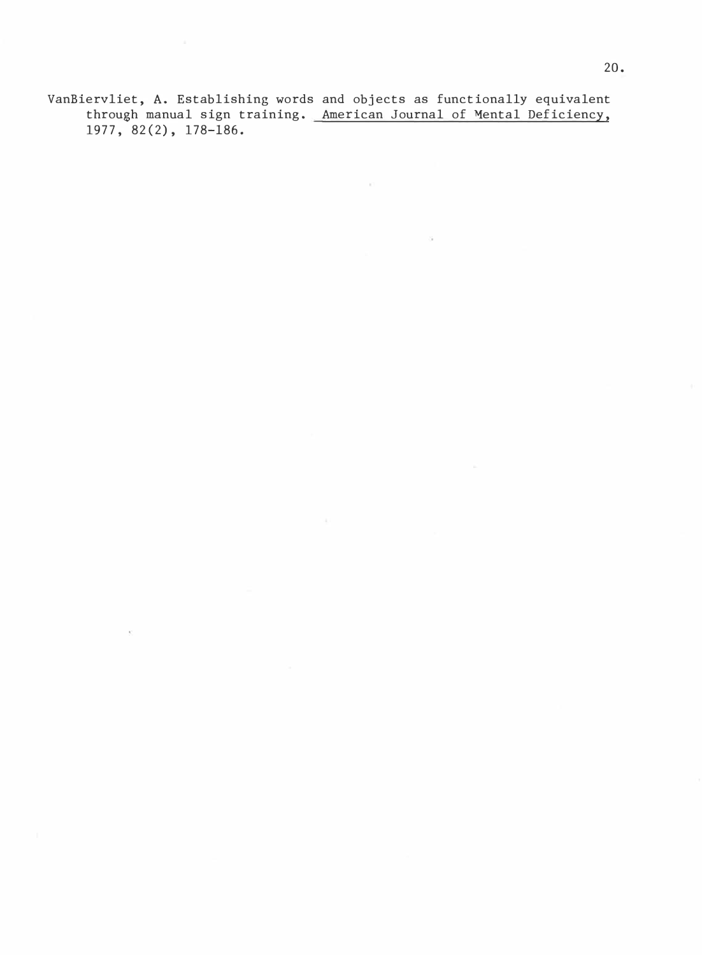VanBiervliet, A. Establishing words and objects as functionally equivalent through manual sign training. <u>American Journal of Mental Deficiency,</u> 1977, 82(2), 178-186.

 $\mathbf{K}$ 

 $\sim$ 

 $\sim$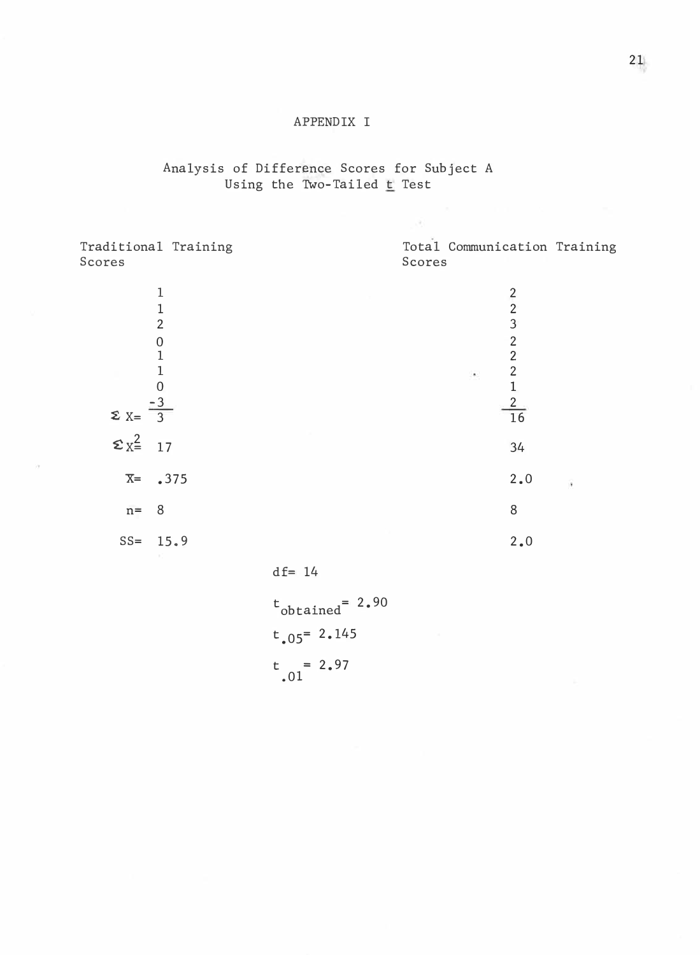### APPENDIX I

### Analysis of Difference Scores for Subject A Using the Two-Tailed <u>t</u> Test

| Scores                                            | Traditional Training                                       |                          | Scores | Total Communication Training                                  |   |  |
|---------------------------------------------------|------------------------------------------------------------|--------------------------|--------|---------------------------------------------------------------|---|--|
|                                                   | $\mathbf 1$<br>$\,1$<br>$\overline{2}$<br>$\boldsymbol{0}$ |                          |        | $\begin{array}{c} 2 \\ 2 \\ 3 \end{array}$                    |   |  |
|                                                   | $\mathbf{1}$<br>1<br>0                                     |                          |        | $\frac{2}{2}$<br>$\frac{2}{1}$<br>$\bullet$<br>$\frac{2}{16}$ |   |  |
| $\Sigma$ X= $\overline{3}$<br>$\Sigma_{X}^2 = 17$ |                                                            |                          |        | 34                                                            |   |  |
| $X = .375$                                        |                                                            |                          |        | $2.0$                                                         | s |  |
| $n =$<br>$SS = 15.9$                              | 8                                                          |                          |        | $\, 8$<br>2.0                                                 |   |  |
|                                                   |                                                            | $df = 14$                |        |                                                               |   |  |
|                                                   |                                                            | $t_{1}$ , $t_{2}$ = 2.90 |        |                                                               |   |  |

t<br>obtained  $= 2.90$  $t_{.05}$  = 2.145  $t = 2.97$ .01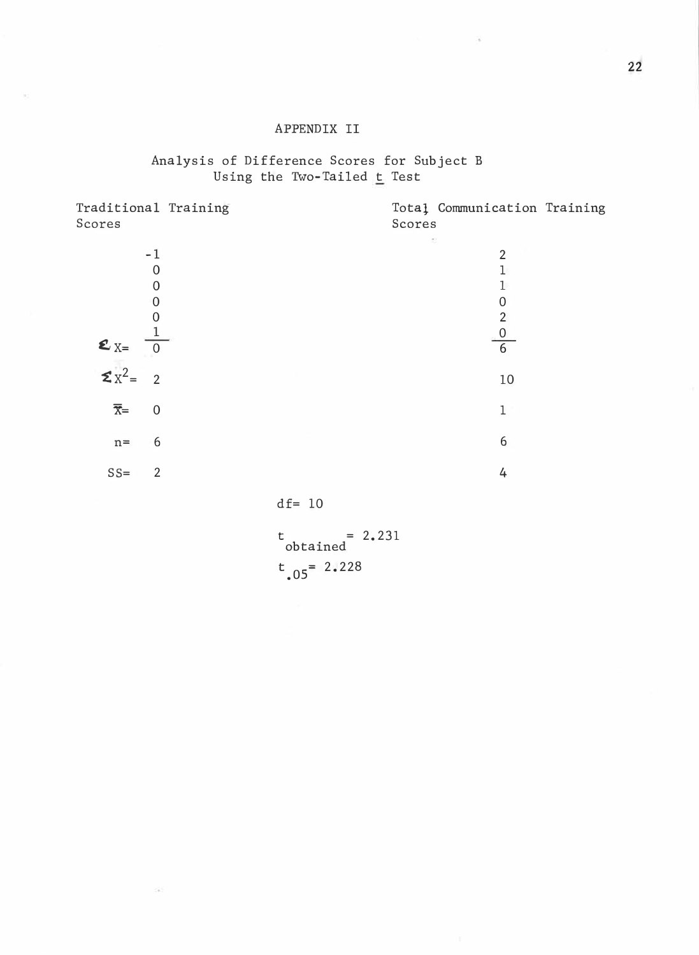### APPENDIX II

### Analysis of Difference Scores for Subject B Using the Two-Tailed <u>t</u> Test

| Traditional Training<br>Scores                                                              | Scores | Total Communication Training                    |  |
|---------------------------------------------------------------------------------------------|--------|-------------------------------------------------|--|
| $-1$<br>0<br>$\overline{0}$<br>$\mathbf 0$<br>0<br>$\mathbf{z}_{X=}$<br>$\mathbf{z}_{X^2=}$ | S      | 2<br>0<br>$\overline{2}$<br>$\overline{0}$<br>6 |  |
| $\overline{2}$                                                                              |        | 10                                              |  |
| $\overline{x}$ =<br>$\overline{0}$                                                          |        | 1                                               |  |
| 6<br>$n =$                                                                                  |        | 6                                               |  |
| $SS =$<br>$\overline{2}$                                                                    |        | 4                                               |  |
|                                                                                             |        |                                                 |  |

df= 10

345

 $\frac{1}{2}$  = 2.231  $t_{.05}$  = 2.228

s.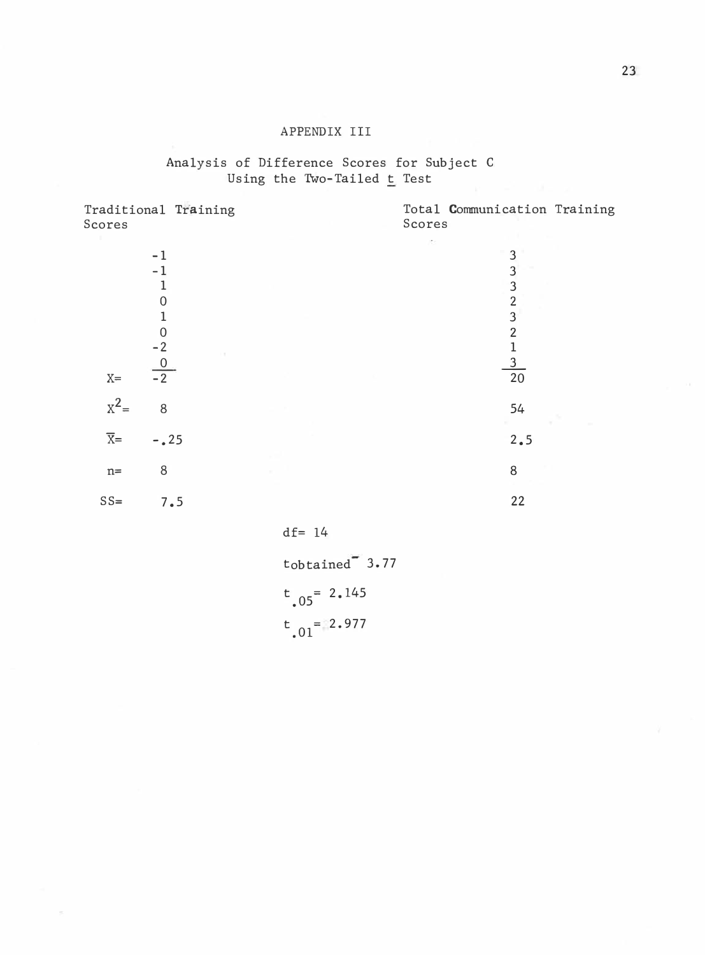### APPENIX III

### Analysis of Difference Scores for Subject C Using the Two-Tailed  $t$  Test

| Traditional Training<br>Scores                                                   |     |           | Scores | Total Communication Training                                                                                                                 |
|----------------------------------------------------------------------------------|-----|-----------|--------|----------------------------------------------------------------------------------------------------------------------------------------------|
| $-1$<br>$-1$<br>1<br>$\mathbf 0$<br>1<br>$\mathbf 0$<br>$\frac{-2}{-2}$<br>$X =$ |     |           | K.     | 3<br>3<br>$\overline{3}$<br>$\overline{2}$<br>$\overline{3}$<br>$\overline{2}$<br>$\mathbf{1}$<br>$\overline{\mathbf{3}}$<br>$\overline{20}$ |
| $x^2=$<br>8                                                                      |     |           |        | 54                                                                                                                                           |
| $\overline{X}$ =<br>$-0.25$                                                      |     |           |        | 2.5                                                                                                                                          |
| 8<br>$\mathtt{n}$ =                                                              |     |           |        | 8                                                                                                                                            |
| $SS=$                                                                            | 7.5 |           |        | 22                                                                                                                                           |
|                                                                                  |     | $df = 14$ |        |                                                                                                                                              |

 $t_{\text{obtained}}$ <sup>=</sup> 3.77  $t_{.05}$  = 2.145  $t_{.01} = 2.977$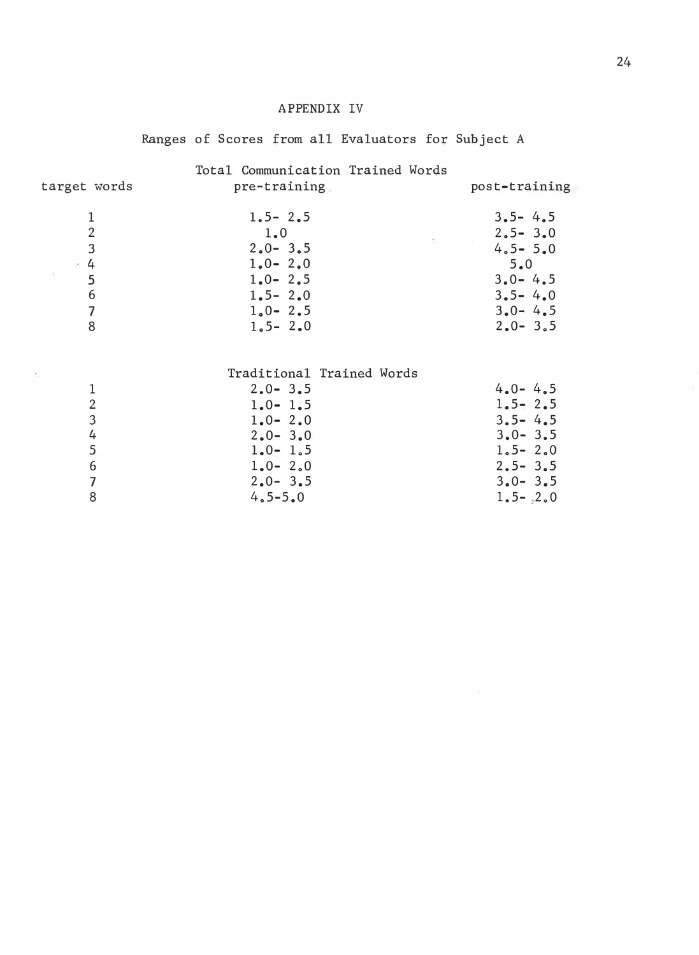### APPENDIX IV

### Ranges of Scores from all Evaluators for Subject A

| target words                                                                                             | Total Communication Trained Words<br>pre-training                                                                                                  | post-training                                                                                                         |
|----------------------------------------------------------------------------------------------------------|----------------------------------------------------------------------------------------------------------------------------------------------------|-----------------------------------------------------------------------------------------------------------------------|
| $\mathbf 1$<br>$\overline{2}$<br>$\overline{3}$<br>$\approx 4$<br>5<br>6<br>$\overline{\mathbf{z}}$<br>8 | $1.5 - 2.5$<br>1.0<br>$\mathcal{O}(\mathcal{O}(\log n))$<br>$2.0 - 3.5$<br>$1.0 - 2.0$<br>$1.0 - 2.5$<br>$1.5 - 2.0$<br>$1,0 - 2,5$<br>$1.5 - 2.0$ | $3.5 - 4.5$<br>$2.5 - 3.0$<br>$4.5 - 5.0$<br>5.0<br>$3.0 - 4.5$<br>$3.5 - 4.0$<br>$3.0 - 4.5$<br>$2.0 - 3.5$          |
| 1<br>$\sqrt{2}$<br>3<br>4<br>5<br>6<br>$\overline{\mathcal{L}}$<br>8                                     | Traditional Trained Words<br>$2.0 - 3.5$<br>$1.0 - 1.5$<br>$1.0 - 2.0$<br>$2.0 - 3.0$<br>$1.0 - 1.5$<br>$1.0 - 2.0$<br>$2.0 - 3.5$<br>$4.5 - 5.0$  | $4.0 - 4.5$<br>$1.5 - 2.5$<br>$3.5 - 4.5$<br>$3.0 - 3.5$<br>$1.5 - 2.0$<br>$2.5 - 3.5$<br>$3.0 - 3.5$<br>$1.5 - .2.0$ |

 $\overline{\mathcal{C}}$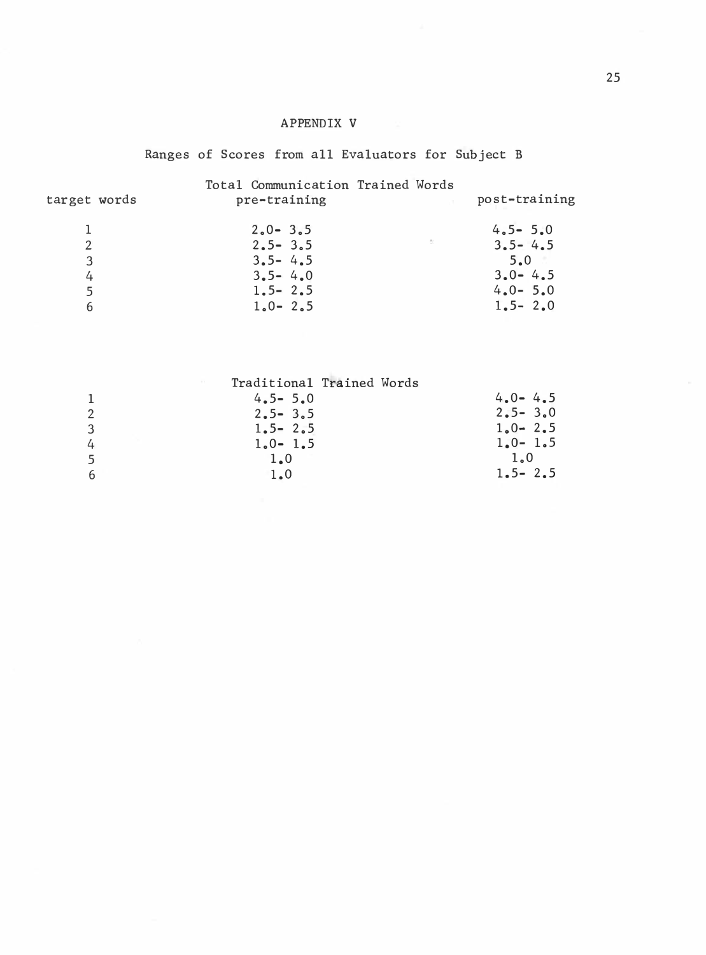### APPENDIX V

### Ranges of Scores from all Evaluators for Subject B

| target words          | Total Communication Trained Words<br>pre-training                                      | post-training                                                                  |
|-----------------------|----------------------------------------------------------------------------------------|--------------------------------------------------------------------------------|
| 2<br>3<br>4<br>5<br>6 | $2.0 - 3.5$<br>$2.5 - 3.5$<br>$3.5 - 4.5$<br>$3.5 - 4.0$<br>$1.5 - 2.5$<br>$1.0 - 2.5$ | $4.5 - 5.0$<br>$3.5 - 4.5$<br>5.0<br>$3.0 - 4.5$<br>$4.0 - 5.0$<br>$1.5 - 2.0$ |

|   |             | Traditional Trained Words |
|---|-------------|---------------------------|
| 1 | $4.5 - 5.0$ | $4.0 - 4.5$               |
| 2 | $2.5 - 3.5$ | $2.5 - 3.0$               |
| 3 | $1.5 - 2.5$ | $1.0 - 2.5$               |
| 4 | $1.0 - 1.5$ | $1.0 - 1.5$               |
| 5 | 1.0         | 1.0                       |
| 6 | 1.0         | $1.5 - 2.5$               |
|   |             |                           |